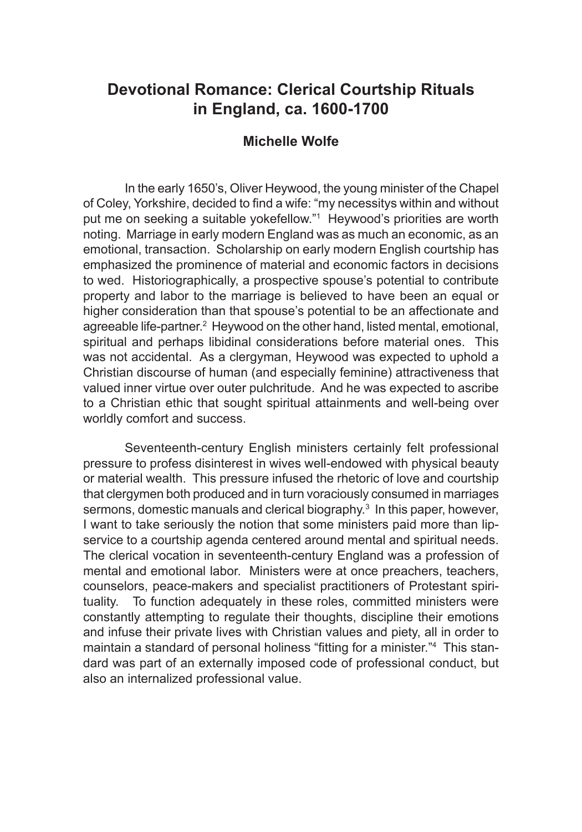## **Devotional Romance: Clerical Courtship Rituals in England, ca. 1600-1700**

## **Michelle Wolfe**

In the early 1650's, Oliver Heywood, the young minister of the Chapel of Coley, Yorkshire, decided to find a wife: "my necessitys within and without put me on seeking a suitable yokefellow."1 Heywood's priorities are worth noting. Marriage in early modern England was as much an economic, as an emotional, transaction. Scholarship on early modern English courtship has emphasized the prominence of material and economic factors in decisions to wed. Historiographically, a prospective spouse's potential to contribute property and labor to the marriage is believed to have been an equal or higher consideration than that spouse's potential to be an affectionate and agreeable life-partner.<sup>2</sup> Heywood on the other hand, listed mental, emotional, spiritual and perhaps libidinal considerations before material ones. This was not accidental. As a clergyman, Heywood was expected to uphold a Christian discourse of human (and especially feminine) attractiveness that valued inner virtue over outer pulchritude. And he was expected to ascribe to a Christian ethic that sought spiritual attainments and well-being over worldly comfort and success.

Seventeenth-century English ministers certainly felt professional pressure to profess disinterest in wives well-endowed with physical beauty or material wealth. This pressure infused the rhetoric of love and courtship that clergymen both produced and in turn voraciously consumed in marriages sermons, domestic manuals and clerical biography.<sup>3</sup> In this paper, however, I want to take seriously the notion that some ministers paid more than lipservice to a courtship agenda centered around mental and spiritual needs. The clerical vocation in seventeenth-century England was a profession of mental and emotional labor. Ministers were at once preachers, teachers, counselors, peace-makers and specialist practitioners of Protestant spirituality. To function adequately in these roles, committed ministers were constantly attempting to regulate their thoughts, discipline their emotions and infuse their private lives with Christian values and piety, all in order to maintain a standard of personal holiness "fitting for a minister."<sup>4</sup> This standard was part of an externally imposed code of professional conduct, but also an internalized professional value.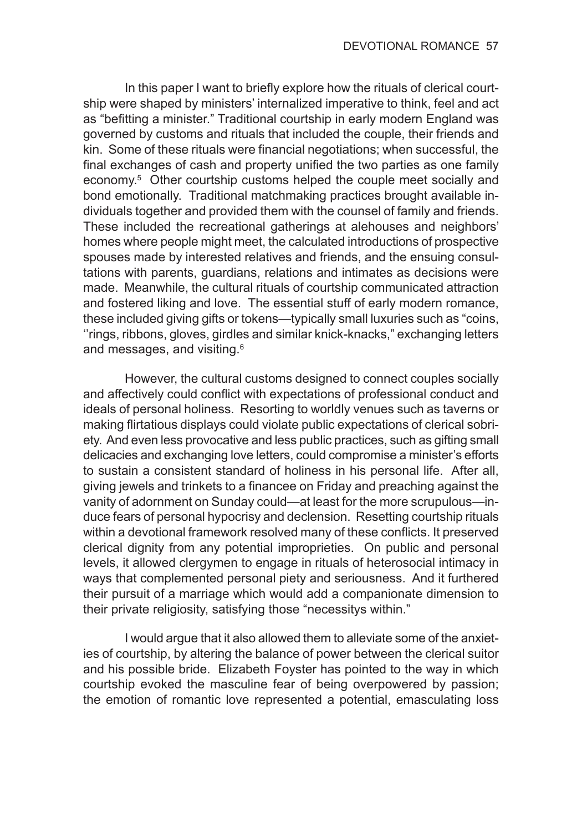In this paper I want to briefly explore how the rituals of clerical courtship were shaped by ministers' internalized imperative to think, feel and act as "befitting a minister." Traditional courtship in early modern England was governed by customs and rituals that included the couple, their friends and kin. Some of these rituals were financial negotiations; when successful, the final exchanges of cash and property unified the two parties as one family economy.5 Other courtship customs helped the couple meet socially and bond emotionally. Traditional matchmaking practices brought available individuals together and provided them with the counsel of family and friends. These included the recreational gatherings at alehouses and neighbors' homes where people might meet, the calculated introductions of prospective spouses made by interested relatives and friends, and the ensuing consultations with parents, guardians, relations and intimates as decisions were made. Meanwhile, the cultural rituals of courtship communicated attraction and fostered liking and love. The essential stuff of early modern romance, these included giving gifts or tokens—typically small luxuries such as "coins, ''rings, ribbons, gloves, girdles and similar knick-knacks," exchanging letters and messages, and visiting.<sup>6</sup>

However, the cultural customs designed to connect couples socially and affectively could conflict with expectations of professional conduct and ideals of personal holiness. Resorting to worldly venues such as taverns or making flirtatious displays could violate public expectations of clerical sobriety. And even less provocative and less public practices, such as gifting small delicacies and exchanging love letters, could compromise a minister's efforts to sustain a consistent standard of holiness in his personal life. After all, giving jewels and trinkets to a financee on Friday and preaching against the vanity of adornment on Sunday could—at least for the more scrupulous—induce fears of personal hypocrisy and declension. Resetting courtship rituals within a devotional framework resolved many of these conflicts. It preserved clerical dignity from any potential improprieties. On public and personal levels, it allowed clergymen to engage in rituals of heterosocial intimacy in ways that complemented personal piety and seriousness. And it furthered their pursuit of a marriage which would add a companionate dimension to their private religiosity, satisfying those "necessitys within."

I would argue that it also allowed them to alleviate some of the anxieties of courtship, by altering the balance of power between the clerical suitor and his possible bride. Elizabeth Foyster has pointed to the way in which courtship evoked the masculine fear of being overpowered by passion; the emotion of romantic love represented a potential, emasculating loss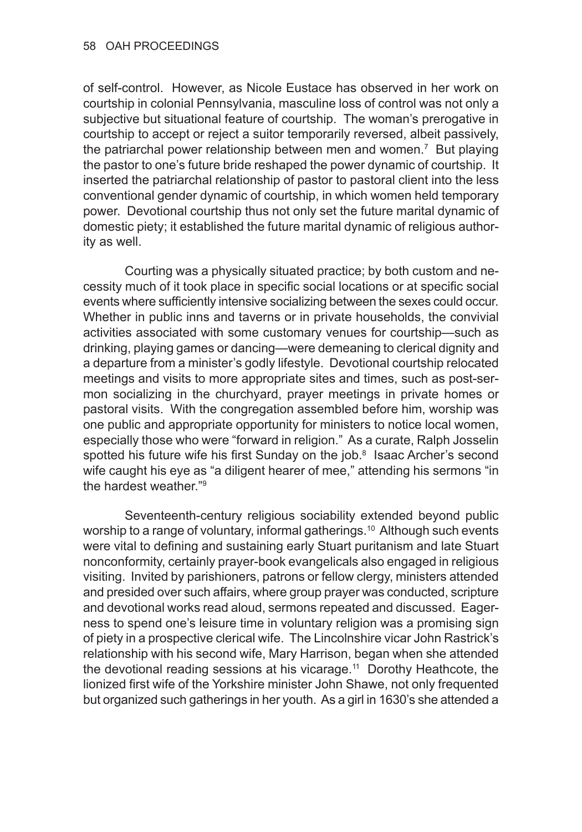of self-control. However, as Nicole Eustace has observed in her work on courtship in colonial Pennsylvania, masculine loss of control was not only a subjective but situational feature of courtship. The woman's prerogative in courtship to accept or reject a suitor temporarily reversed, albeit passively, the patriarchal power relationship between men and women.<sup>7</sup> But playing the pastor to one's future bride reshaped the power dynamic of courtship. It inserted the patriarchal relationship of pastor to pastoral client into the less conventional gender dynamic of courtship, in which women held temporary power. Devotional courtship thus not only set the future marital dynamic of domestic piety; it established the future marital dynamic of religious authority as well.

Courting was a physically situated practice; by both custom and necessity much of it took place in specific social locations or at specific social events where sufficiently intensive socializing between the sexes could occur. Whether in public inns and taverns or in private households, the convivial activities associated with some customary venues for courtship—such as drinking, playing games or dancing—were demeaning to clerical dignity and a departure from a minister's godly lifestyle. Devotional courtship relocated meetings and visits to more appropriate sites and times, such as post-sermon socializing in the churchyard, prayer meetings in private homes or pastoral visits. With the congregation assembled before him, worship was one public and appropriate opportunity for ministers to notice local women, especially those who were "forward in religion." As a curate, Ralph Josselin spotted his future wife his first Sunday on the job.<sup>8</sup> Isaac Archer's second wife caught his eye as "a diligent hearer of mee," attending his sermons "in the hardest weather."9

Seventeenth-century religious sociability extended beyond public worship to a range of voluntary, informal gatherings.<sup>10</sup> Although such events were vital to defining and sustaining early Stuart puritanism and late Stuart nonconformity, certainly prayer-book evangelicals also engaged in religious visiting. Invited by parishioners, patrons or fellow clergy, ministers attended and presided over such affairs, where group prayer was conducted, scripture and devotional works read aloud, sermons repeated and discussed. Eagerness to spend one's leisure time in voluntary religion was a promising sign of piety in a prospective clerical wife. The Lincolnshire vicar John Rastrick's relationship with his second wife, Mary Harrison, began when she attended the devotional reading sessions at his vicarage.11 Dorothy Heathcote, the lionized first wife of the Yorkshire minister John Shawe, not only frequented but organized such gatherings in her youth. As a girl in 1630's she attended a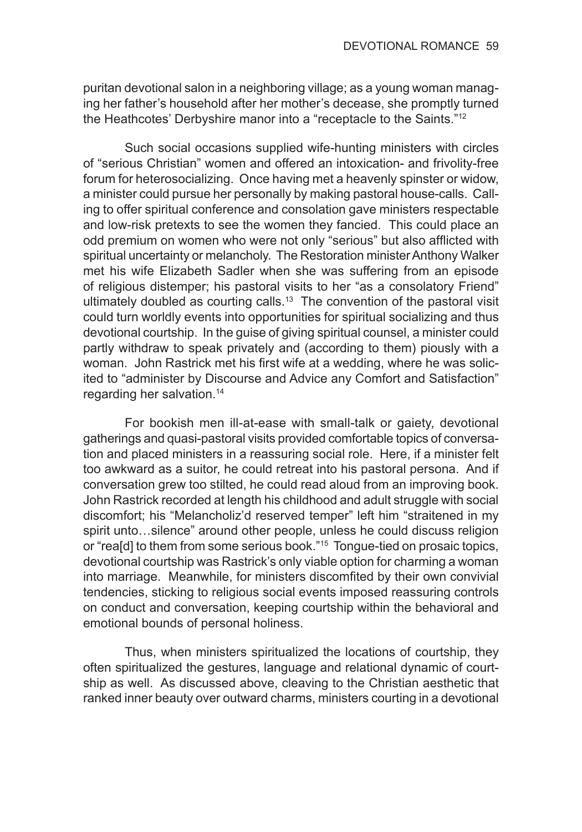puritan devotional salon in a neighboring village; as a young woman managing her father's household after her mother's decease, she promptly turned the Heathcotes' Derbyshire manor into a "receptacle to the Saints."<sup>12</sup>

Such social occasions supplied wife-hunting ministers with circles of "serious Christian" women and offered an intoxication- and frivolity-free forum for heterosocializing. Once having met a heavenly spinster or widow, a minister could pursue her personally by making pastoral house-calls. Calling to offer spiritual conference and consolation gave ministers respectable and low-risk pretexts to see the women they fancied. This could place an odd premium on women who were not only "serious" but also afflicted with spiritual uncertainty or melancholy. The Restoration minister Anthony Walker met his wife Elizabeth Sadler when she was suffering from an episode of religious distemper; his pastoral visits to her "as a consolatory Friend" ultimately doubled as courting calls.<sup>13</sup> The convention of the pastoral visit could turn worldly events into opportunities for spiritual socializing and thus devotional courtship. In the guise of giving spiritual counsel, a minister could partly withdraw to speak privately and (according to them) piously with a woman. John Rastrick met his first wife at a wedding, where he was solicited to "administer by Discourse and Advice any Comfort and Satisfaction" regarding her salvation.14

For bookish men ill-at-ease with small-talk or gaiety, devotional gatherings and quasi-pastoral visits provided comfortable topics of conversation and placed ministers in a reassuring social role. Here, if a minister felt too awkward as a suitor, he could retreat into his pastoral persona. And if conversation grew too stilted, he could read aloud from an improving book. John Rastrick recorded at length his childhood and adult struggle with social discomfort; his "Melancholiz'd reserved temper" left him "straitened in my spirit unto…silence" around other people, unless he could discuss religion or "rea[d] to them from some serious book."15 Tongue-tied on prosaic topics, devotional courtship was Rastrick's only viable option for charming a woman into marriage. Meanwhile, for ministers discomfited by their own convivial tendencies, sticking to religious social events imposed reassuring controls on conduct and conversation, keeping courtship within the behavioral and emotional bounds of personal holiness.

Thus, when ministers spiritualized the locations of courtship, they often spiritualized the gestures, language and relational dynamic of courtship as well. As discussed above, cleaving to the Christian aesthetic that ranked inner beauty over outward charms, ministers courting in a devotional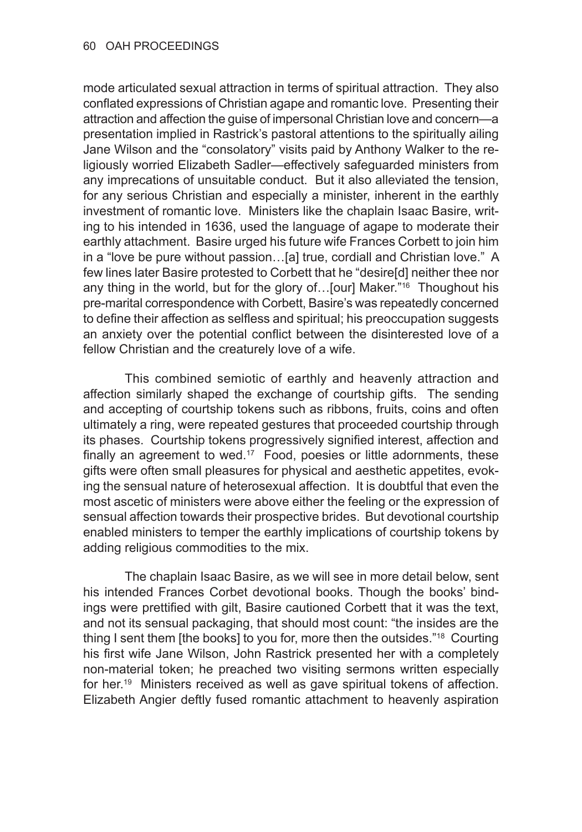mode articulated sexual attraction in terms of spiritual attraction. They also conflated expressions of Christian agape and romantic love. Presenting their attraction and affection the guise of impersonal Christian love and concern—a presentation implied in Rastrick's pastoral attentions to the spiritually ailing Jane Wilson and the "consolatory" visits paid by Anthony Walker to the religiously worried Elizabeth Sadler—effectively safeguarded ministers from any imprecations of unsuitable conduct. But it also alleviated the tension, for any serious Christian and especially a minister, inherent in the earthly investment of romantic love. Ministers like the chaplain Isaac Basire, writing to his intended in 1636, used the language of agape to moderate their earthly attachment. Basire urged his future wife Frances Corbett to join him in a "love be pure without passion…[a] true, cordiall and Christian love." A few lines later Basire protested to Corbett that he "desire[d] neither thee nor any thing in the world, but for the glory of...[our] Maker."<sup>16</sup> Thoughout his pre-marital correspondence with Corbett, Basire's was repeatedly concerned to define their affection as selfless and spiritual; his preoccupation suggests an anxiety over the potential conflict between the disinterested love of a fellow Christian and the creaturely love of a wife.

This combined semiotic of earthly and heavenly attraction and affection similarly shaped the exchange of courtship gifts. The sending and accepting of courtship tokens such as ribbons, fruits, coins and often ultimately a ring, were repeated gestures that proceeded courtship through its phases. Courtship tokens progressively signified interest, affection and finally an agreement to wed.<sup>17</sup> Food, poesies or little adornments, these gifts were often small pleasures for physical and aesthetic appetites, evoking the sensual nature of heterosexual affection. It is doubtful that even the most ascetic of ministers were above either the feeling or the expression of sensual affection towards their prospective brides. But devotional courtship enabled ministers to temper the earthly implications of courtship tokens by adding religious commodities to the mix.

The chaplain Isaac Basire, as we will see in more detail below, sent his intended Frances Corbet devotional books. Though the books' bindings were prettified with gilt, Basire cautioned Corbett that it was the text, and not its sensual packaging, that should most count: "the insides are the thing I sent them [the books] to you for, more then the outsides."18 Courting his first wife Jane Wilson, John Rastrick presented her with a completely non-material token; he preached two visiting sermons written especially for her.<sup>19</sup> Ministers received as well as gave spiritual tokens of affection. Elizabeth Angier deftly fused romantic attachment to heavenly aspiration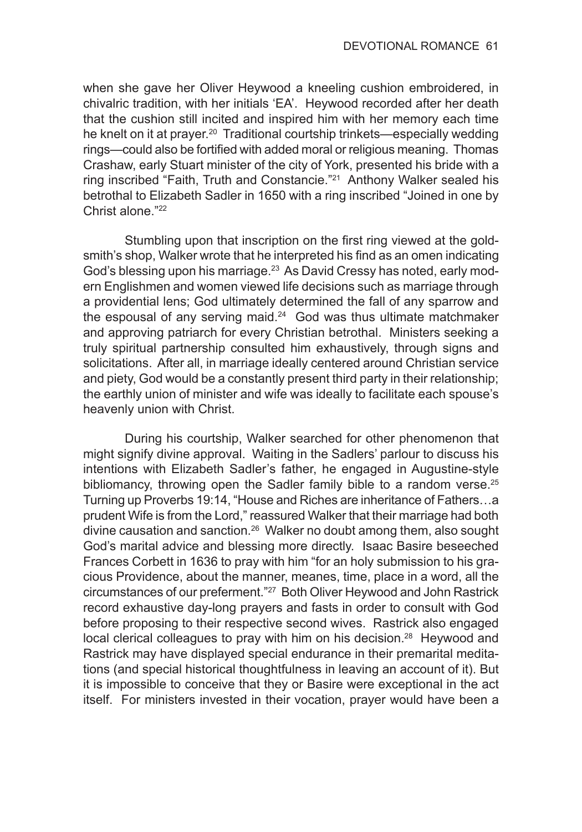when she gave her Oliver Heywood a kneeling cushion embroidered, in chivalric tradition, with her initials 'EA'. Heywood recorded after her death that the cushion still incited and inspired him with her memory each time he knelt on it at prayer.<sup>20</sup> Traditional courtship trinkets—especially wedding rings—could also be fortified with added moral or religious meaning. Thomas Crashaw, early Stuart minister of the city of York, presented his bride with a ring inscribed "Faith, Truth and Constancie."<sup>21</sup> Anthony Walker sealed his betrothal to Elizabeth Sadler in 1650 with a ring inscribed "Joined in one by Christ alone."22

Stumbling upon that inscription on the first ring viewed at the goldsmith's shop, Walker wrote that he interpreted his find as an omen indicating God's blessing upon his marriage.<sup>23</sup> As David Cressy has noted, early modern Englishmen and women viewed life decisions such as marriage through a providential lens; God ultimately determined the fall of any sparrow and the espousal of any serving maid. $24$  God was thus ultimate matchmaker and approving patriarch for every Christian betrothal. Ministers seeking a truly spiritual partnership consulted him exhaustively, through signs and solicitations. After all, in marriage ideally centered around Christian service and piety, God would be a constantly present third party in their relationship; the earthly union of minister and wife was ideally to facilitate each spouse's heavenly union with Christ.

During his courtship, Walker searched for other phenomenon that might signify divine approval. Waiting in the Sadlers' parlour to discuss his intentions with Elizabeth Sadler's father, he engaged in Augustine-style bibliomancy, throwing open the Sadler family bible to a random verse. $25$ Turning up Proverbs 19:14, "House and Riches are inheritance of Fathers…a prudent Wife is from the Lord," reassured Walker that their marriage had both divine causation and sanction.26 Walker no doubt among them, also sought God's marital advice and blessing more directly. Isaac Basire beseeched Frances Corbett in 1636 to pray with him "for an holy submission to his gracious Providence, about the manner, meanes, time, place in a word, all the circumstances of our preferment."27 Both Oliver Heywood and John Rastrick record exhaustive day-long prayers and fasts in order to consult with God before proposing to their respective second wives. Rastrick also engaged local clerical colleagues to pray with him on his decision.<sup>28</sup> Heywood and Rastrick may have displayed special endurance in their premarital meditations (and special historical thoughtfulness in leaving an account of it). But it is impossible to conceive that they or Basire were exceptional in the act itself. For ministers invested in their vocation, prayer would have been a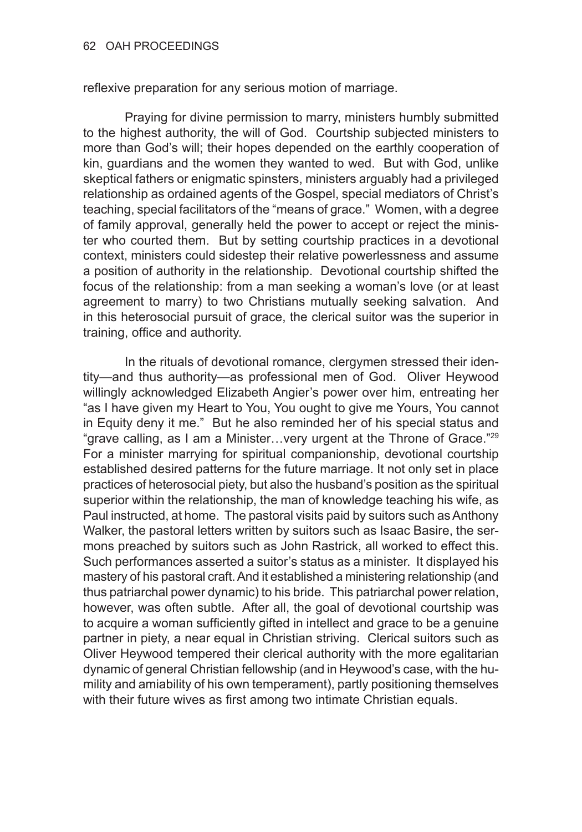reflexive preparation for any serious motion of marriage.

Praying for divine permission to marry, ministers humbly submitted to the highest authority, the will of God. Courtship subjected ministers to more than God's will; their hopes depended on the earthly cooperation of kin, guardians and the women they wanted to wed. But with God, unlike skeptical fathers or enigmatic spinsters, ministers arguably had a privileged relationship as ordained agents of the Gospel, special mediators of Christ's teaching, special facilitators of the "means of grace." Women, with a degree of family approval, generally held the power to accept or reject the minister who courted them. But by setting courtship practices in a devotional context, ministers could sidestep their relative powerlessness and assume a position of authority in the relationship. Devotional courtship shifted the focus of the relationship: from a man seeking a woman's love (or at least agreement to marry) to two Christians mutually seeking salvation. And in this heterosocial pursuit of grace, the clerical suitor was the superior in training, office and authority.

In the rituals of devotional romance, clergymen stressed their identity—and thus authority—as professional men of God. Oliver Heywood willingly acknowledged Elizabeth Angier's power over him, entreating her "as I have given my Heart to You, You ought to give me Yours, You cannot in Equity deny it me." But he also reminded her of his special status and "grave calling, as I am a Minister…very urgent at the Throne of Grace."<sup>29</sup> For a minister marrying for spiritual companionship, devotional courtship established desired patterns for the future marriage. It not only set in place practices of heterosocial piety, but also the husband's position as the spiritual superior within the relationship, the man of knowledge teaching his wife, as Paul instructed, at home. The pastoral visits paid by suitors such as Anthony Walker, the pastoral letters written by suitors such as Isaac Basire, the sermons preached by suitors such as John Rastrick, all worked to effect this. Such performances asserted a suitor's status as a minister. It displayed his mastery of his pastoral craft. And it established a ministering relationship (and thus patriarchal power dynamic) to his bride. This patriarchal power relation, however, was often subtle. After all, the goal of devotional courtship was to acquire a woman sufficiently gifted in intellect and grace to be a genuine partner in piety, a near equal in Christian striving. Clerical suitors such as Oliver Heywood tempered their clerical authority with the more egalitarian dynamic of general Christian fellowship (and in Heywood's case, with the humility and amiability of his own temperament), partly positioning themselves with their future wives as first among two intimate Christian equals.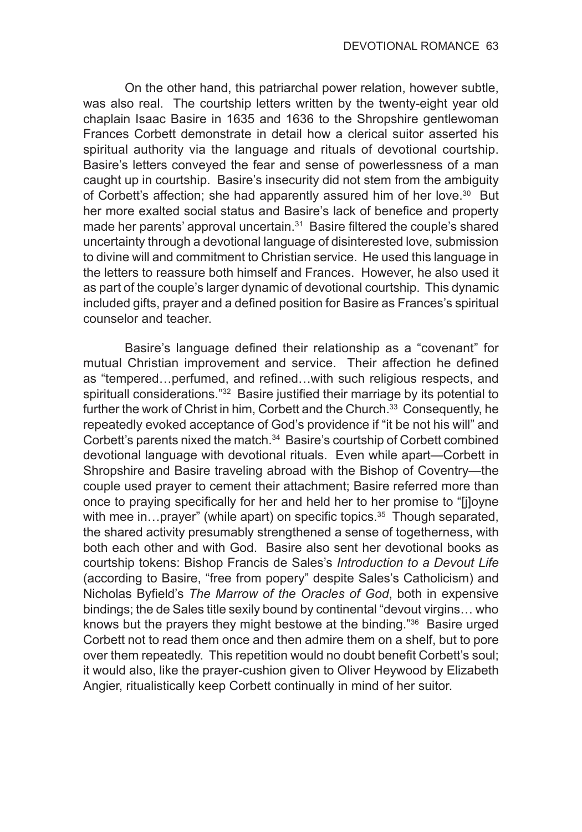On the other hand, this patriarchal power relation, however subtle, was also real. The courtship letters written by the twenty-eight year old chaplain Isaac Basire in 1635 and 1636 to the Shropshire gentlewoman Frances Corbett demonstrate in detail how a clerical suitor asserted his spiritual authority via the language and rituals of devotional courtship. Basire's letters conveyed the fear and sense of powerlessness of a man caught up in courtship. Basire's insecurity did not stem from the ambiguity of Corbett's affection; she had apparently assured him of her love.<sup>30</sup> But her more exalted social status and Basire's lack of benefice and property made her parents' approval uncertain.<sup>31</sup> Basire filtered the couple's shared uncertainty through a devotional language of disinterested love, submission to divine will and commitment to Christian service. He used this language in the letters to reassure both himself and Frances. However, he also used it as part of the couple's larger dynamic of devotional courtship. This dynamic included gifts, prayer and a defined position for Basire as Frances's spiritual counselor and teacher.

Basire's language defined their relationship as a "covenant" for mutual Christian improvement and service. Their affection he defined as "tempered…perfumed, and refined…with such religious respects, and spirituall considerations."<sup>32</sup> Basire justified their marriage by its potential to further the work of Christ in him, Corbett and the Church.<sup>33</sup> Consequently, he repeatedly evoked acceptance of God's providence if "it be not his will" and Corbett's parents nixed the match.<sup>34</sup> Basire's courtship of Corbett combined devotional language with devotional rituals. Even while apart—Corbett in Shropshire and Basire traveling abroad with the Bishop of Coventry—the couple used prayer to cement their attachment; Basire referred more than once to praying specifically for her and held her to her promise to "[j]oyne with mee in...prayer" (while apart) on specific topics.<sup>35</sup> Though separated, the shared activity presumably strengthened a sense of togetherness, with both each other and with God. Basire also sent her devotional books as courtship tokens: Bishop Francis de Sales's *Introduction to a Devout Life* (according to Basire, "free from popery" despite Sales's Catholicism) and Nicholas Byfield's *The Marrow of the Oracles of God*, both in expensive bindings; the de Sales title sexily bound by continental "devout virgins… who knows but the prayers they might bestowe at the binding."<sup>36</sup> Basire urged Corbett not to read them once and then admire them on a shelf, but to pore over them repeatedly. This repetition would no doubt benefit Corbett's soul; it would also, like the prayer-cushion given to Oliver Heywood by Elizabeth Angier, ritualistically keep Corbett continually in mind of her suitor.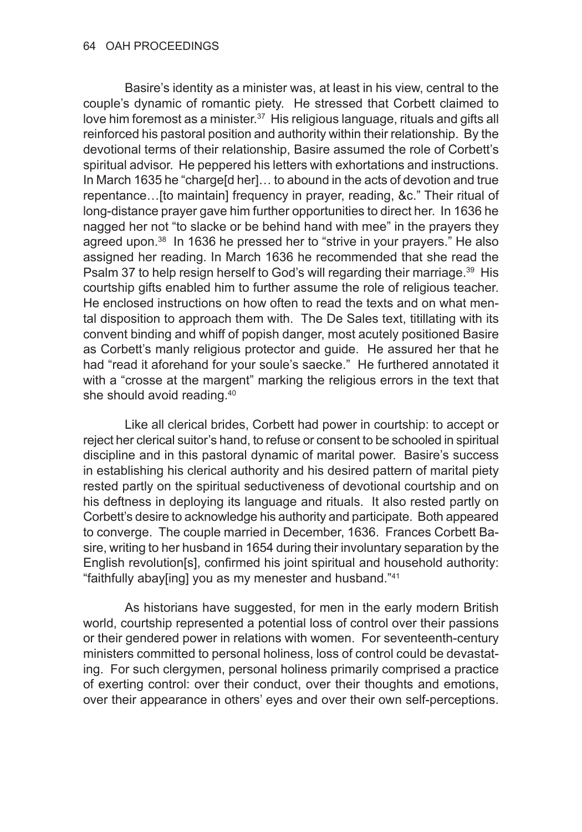Basire's identity as a minister was, at least in his view, central to the couple's dynamic of romantic piety. He stressed that Corbett claimed to love him foremost as a minister.<sup>37</sup> His religious language, rituals and gifts all reinforced his pastoral position and authority within their relationship. By the devotional terms of their relationship, Basire assumed the role of Corbett's spiritual advisor. He peppered his letters with exhortations and instructions. In March 1635 he "charge[d her]… to abound in the acts of devotion and true repentance…[to maintain] frequency in prayer, reading, &c." Their ritual of long-distance prayer gave him further opportunities to direct her. In 1636 he nagged her not "to slacke or be behind hand with mee" in the prayers they agreed upon.<sup>38</sup> In 1636 he pressed her to "strive in your prayers." He also assigned her reading. In March 1636 he recommended that she read the Psalm 37 to help resign herself to God's will regarding their marriage.<sup>39</sup> His courtship gifts enabled him to further assume the role of religious teacher. He enclosed instructions on how often to read the texts and on what mental disposition to approach them with. The De Sales text, titillating with its convent binding and whiff of popish danger, most acutely positioned Basire as Corbett's manly religious protector and guide. He assured her that he had "read it aforehand for your soule's saecke." He furthered annotated it with a "crosse at the margent" marking the religious errors in the text that she should avoid reading.<sup>40</sup>

Like all clerical brides, Corbett had power in courtship: to accept or reject her clerical suitor's hand, to refuse or consent to be schooled in spiritual discipline and in this pastoral dynamic of marital power. Basire's success in establishing his clerical authority and his desired pattern of marital piety rested partly on the spiritual seductiveness of devotional courtship and on his deftness in deploying its language and rituals. It also rested partly on Corbett's desire to acknowledge his authority and participate. Both appeared to converge. The couple married in December, 1636. Frances Corbett Basire, writing to her husband in 1654 during their involuntary separation by the English revolution[s], confirmed his joint spiritual and household authority: "faithfully abay[ing] you as my menester and husband."<sup>41</sup>

As historians have suggested, for men in the early modern British world, courtship represented a potential loss of control over their passions or their gendered power in relations with women. For seventeenth-century ministers committed to personal holiness, loss of control could be devastating. For such clergymen, personal holiness primarily comprised a practice of exerting control: over their conduct, over their thoughts and emotions, over their appearance in others' eyes and over their own self-perceptions.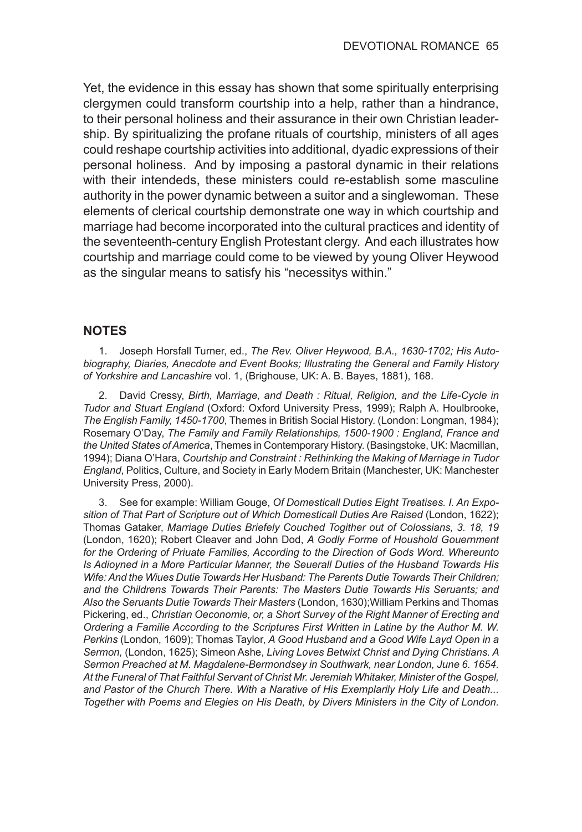Yet, the evidence in this essay has shown that some spiritually enterprising clergymen could transform courtship into a help, rather than a hindrance, to their personal holiness and their assurance in their own Christian leadership. By spiritualizing the profane rituals of courtship, ministers of all ages could reshape courtship activities into additional, dyadic expressions of their personal holiness. And by imposing a pastoral dynamic in their relations with their intendeds, these ministers could re-establish some masculine authority in the power dynamic between a suitor and a singlewoman. These elements of clerical courtship demonstrate one way in which courtship and marriage had become incorporated into the cultural practices and identity of the seventeenth-century English Protestant clergy. And each illustrates how courtship and marriage could come to be viewed by young Oliver Heywood as the singular means to satisfy his "necessitys within."

## **NOTES**

1. Joseph Horsfall Turner, ed., *The Rev. Oliver Heywood, B.A., 1630-1702; His Autobiography, Diaries, Anecdote and Event Books; Illustrating the General and Family History of Yorkshire and Lancashire* vol. 1, (Brighouse, UK: A. B. Bayes, 1881), 168.

2. David Cressy, *Birth, Marriage, and Death : Ritual, Religion, and the Life-Cycle in Tudor and Stuart England* (Oxford: Oxford University Press, 1999); Ralph A. Houlbrooke, *The English Family, 1450-1700*, Themes in British Social History. (London: Longman, 1984); Rosemary O'Day, *The Family and Family Relationships, 1500-1900 : England, France and the United States of America*, Themes in Contemporary History. (Basingstoke, UK: Macmillan, 1994); Diana O'Hara, *Courtship and Constraint : Rethinking the Making of Marriage in Tudor England*, Politics, Culture, and Society in Early Modern Britain (Manchester, UK: Manchester University Press, 2000).

3. See for example: William Gouge, *Of Domesticall Duties Eight Treatises. I. An Exposition of That Part of Scripture out of Which Domesticall Duties Are Raised* (London, 1622); Thomas Gataker, *Marriage Duties Briefely Couched Togither out of Colossians, 3. 18, 19* (London, 1620); Robert Cleaver and John Dod, *A Godly Forme of Houshold Gouernment*  for the Ordering of Priuate Families, According to the Direction of Gods Word. Whereunto *Is Adioyned in a More Particular Manner, the Seuerall Duties of the Husband Towards His Wife: And the Wiues Dutie Towards Her Husband: The Parents Dutie Towards Their Children; and the Childrens Towards Their Parents: The Masters Dutie Towards His Seruants; and Also the Seruants Dutie Towards Their Masters* (London, 1630);William Perkins and Thomas Pickering, ed., *Christian Oeconomie, or, a Short Survey of the Right Manner of Erecting and Ordering a Familie According to the Scriptures First Written in Latine by the Author M. W. Perkins* (London, 1609); Thomas Taylor, *A Good Husband and a Good Wife Layd Open in a Sermon,* (London, 1625); Simeon Ashe, *Living Loves Betwixt Christ and Dying Christians. A Sermon Preached at M. Magdalene-Bermondsey in Southwark, near London, June 6. 1654. At the Funeral of That Faithful Servant of Christ Mr. Jeremiah Whitaker, Minister of the Gospel, and Pastor of the Church There. With a Narative of His Exemplarily Holy Life and Death... Together with Poems and Elegies on His Death, by Divers Ministers in the City of London.*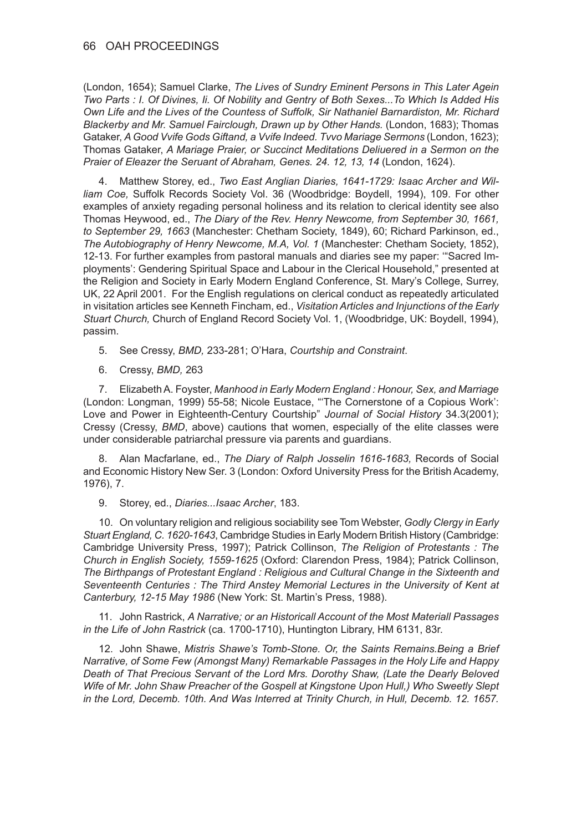(London, 1654); Samuel Clarke, *The Lives of Sundry Eminent Persons in This Later Agein Two Parts : I. Of Divines, Ii. Of Nobility and Gentry of Both Sexes...To Which Is Added His Own Life and the Lives of the Countess of Suffolk, Sir Nathaniel Barnardiston, Mr. Richard Blackerby and Mr. Samuel Fairclough, Drawn up by Other Hands.* (London, 1683); Thomas Gataker, *A Good Vvife Gods Giftand, a Vvife Indeed. Tvvo Mariage Sermons* (London, 1623); Thomas Gataker, *A Mariage Praier, or Succinct Meditations Deliuered in a Sermon on the Praier of Eleazer the Seruant of Abraham, Genes. 24. 12, 13, 14* (London, 1624).

4. Matthew Storey, ed., *Two East Anglian Diaries, 1641-1729: Isaac Archer and William Coe,* Suffolk Records Society Vol. 36 (Woodbridge: Boydell, 1994), 109. For other examples of anxiety regading personal holiness and its relation to clerical identity see also Thomas Heywood, ed., *The Diary of the Rev. Henry Newcome, from September 30, 1661, to September 29, 1663* (Manchester: Chetham Society, 1849), 60; Richard Parkinson, ed., *The Autobiography of Henry Newcome, M.A, Vol. 1* (Manchester: Chetham Society, 1852), 12-13. For further examples from pastoral manuals and diaries see my paper: '"Sacred Imployments': Gendering Spiritual Space and Labour in the Clerical Household," presented at the Religion and Society in Early Modern England Conference, St. Mary's College, Surrey, UK, 22 April 2001. For the English regulations on clerical conduct as repeatedly articulated in visitation articles see Kenneth Fincham, ed., *Visitation Articles and Injunctions of the Early Stuart Church,* Church of England Record Society Vol. 1, (Woodbridge, UK: Boydell, 1994), passim.

- 5. See Cressy, *BMD,* 233-281; O'Hara, *Courtship and Constraint*.
- 6. Cressy, *BMD,* 263

7. Elizabeth A. Foyster, *Manhood in Early Modern England : Honour, Sex, and Marriage* (London: Longman, 1999) 55-58; Nicole Eustace, "'The Cornerstone of a Copious Work': Love and Power in Eighteenth-Century Courtship" *Journal of Social History* 34.3(2001); Cressy (Cressy, *BMD*, above) cautions that women, especially of the elite classes were under considerable patriarchal pressure via parents and guardians.

8. Alan Macfarlane, ed., *The Diary of Ralph Josselin 1616-1683,* Records of Social and Economic History New Ser. 3 (London: Oxford University Press for the British Academy, 1976), 7.

9. Storey, ed., *Diaries...Isaac Archer*, 183.

10. On voluntary religion and religious sociability see Tom Webster, *Godly Clergy in Early Stuart England, C. 1620-1643*, Cambridge Studies in Early Modern British History (Cambridge: Cambridge University Press, 1997); Patrick Collinson, *The Religion of Protestants : The Church in English Society, 1559-1625* (Oxford: Clarendon Press, 1984); Patrick Collinson, *The Birthpangs of Protestant England : Religious and Cultural Change in the Sixteenth and Seventeenth Centuries : The Third Anstey Memorial Lectures in the University of Kent at Canterbury, 12-15 May 1986* (New York: St. Martin's Press, 1988).

11. John Rastrick, *A Narrative; or an Historicall Account of the Most Materiall Passages in the Life of John Rastrick* (ca. 1700-1710), Huntington Library, HM 6131, 83r.

12. John Shawe, *Mistris Shawe's Tomb-Stone. Or, the Saints Remains.Being a Brief Narrative, of Some Few (Amongst Many) Remarkable Passages in the Holy Life and Happy Death of That Precious Servant of the Lord Mrs. Dorothy Shaw, (Late the Dearly Beloved Wife of Mr. John Shaw Preacher of the Gospell at Kingstone Upon Hull,) Who Sweetly Slept in the Lord, Decemb. 10th. And Was Interred at Trinity Church, in Hull, Decemb. 12. 1657.*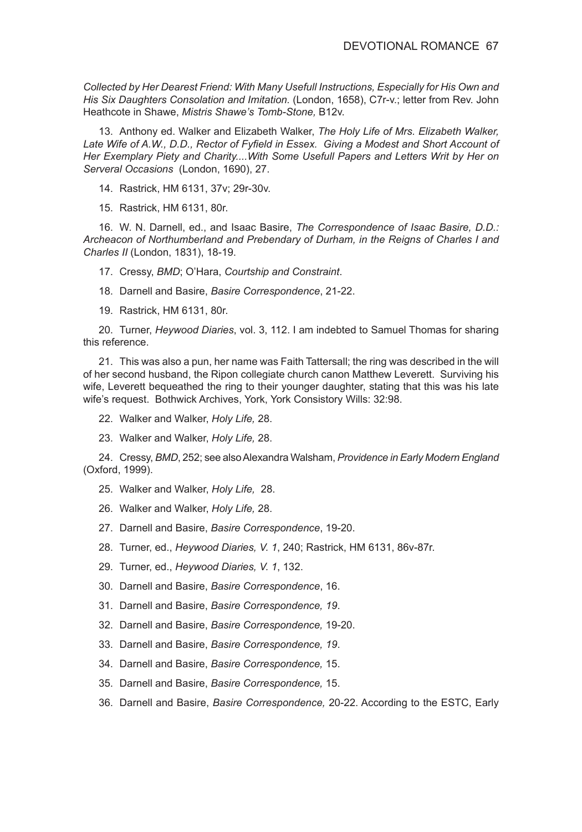*Collected by Her Dearest Friend: With Many Usefull Instructions, Especially for His Own and His Six Daughters Consolation and Imitation.* (London, 1658), C7r-v.; letter from Rev. John Heathcote in Shawe, *Mistris Shawe's Tomb-Stone,* B12v.

13. Anthony ed. Walker and Elizabeth Walker, *The Holy Life of Mrs. Elizabeth Walker,*  Late Wife of A.W., D.D., Rector of Fyfield in Essex. Giving a Modest and Short Account of *Her Exemplary Piety and Charity....With Some Usefull Papers and Letters Writ by Her on Serveral Occasions* (London, 1690), 27.

- 14. Rastrick, HM 6131, 37v; 29r-30v.
- 15. Rastrick, HM 6131, 80r.

16. W. N. Darnell, ed., and Isaac Basire, *The Correspondence of Isaac Basire, D.D.: Archeacon of Northumberland and Prebendary of Durham, in the Reigns of Charles I and Charles II* (London, 1831), 18-19.

17. Cressy, *BMD*; O'Hara, *Courtship and Constraint*.

18. Darnell and Basire, *Basire Correspondence*, 21-22.

19. Rastrick, HM 6131, 80r.

20. Turner, *Heywood Diaries*, vol. 3, 112. I am indebted to Samuel Thomas for sharing this reference.

21. This was also a pun, her name was Faith Tattersall; the ring was described in the will of her second husband, the Ripon collegiate church canon Matthew Leverett. Surviving his wife, Leverett bequeathed the ring to their younger daughter, stating that this was his late wife's request. Bothwick Archives, York, York Consistory Wills: 32:98.

22. Walker and Walker, *Holy Life,* 28.

23. Walker and Walker, *Holy Life,* 28.

24. Cressy, *BMD*, 252; see also Alexandra Walsham, *Providence in Early Modern England* (Oxford, 1999).

- 25. Walker and Walker, *Holy Life,* 28.
- 26. Walker and Walker, *Holy Life,* 28.
- 27. Darnell and Basire, *Basire Correspondence*, 19-20.
- 28. Turner, ed., *Heywood Diaries, V. 1*, 240; Rastrick, HM 6131, 86v-87r.
- 29. Turner, ed., *Heywood Diaries, V. 1*, 132.
- 30. Darnell and Basire, *Basire Correspondence*, 16.
- 31. Darnell and Basire, *Basire Correspondence, 19*.
- 32. Darnell and Basire, *Basire Correspondence,* 19-20.
- 33. Darnell and Basire, *Basire Correspondence, 19*.
- 34. Darnell and Basire, *Basire Correspondence,* 15.
- 35. Darnell and Basire, *Basire Correspondence,* 15.
- 36. Darnell and Basire, *Basire Correspondence,* 20-22. According to the ESTC, Early